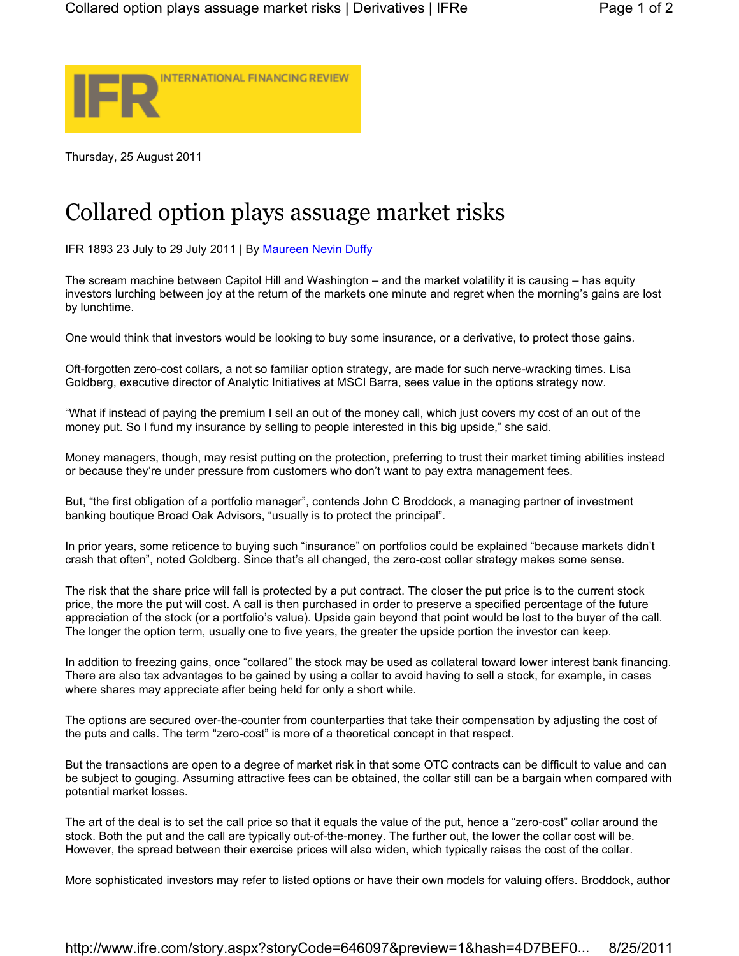

Thursday, 25 August 2011

## Collared option plays assuage market risks

IFR 1893 23 July to 29 July 2011 | By Maureen Nevin Duffy

The scream machine between Capitol Hill and Washington – and the market volatility it is causing – has equity investors lurching between joy at the return of the markets one minute and regret when the morning's gains are lost by lunchtime.

One would think that investors would be looking to buy some insurance, or a derivative, to protect those gains.

Oft-forgotten zero-cost collars, a not so familiar option strategy, are made for such nerve-wracking times. Lisa Goldberg, executive director of Analytic Initiatives at MSCI Barra, sees value in the options strategy now.

"What if instead of paying the premium I sell an out of the money call, which just covers my cost of an out of the money put. So I fund my insurance by selling to people interested in this big upside," she said.

Money managers, though, may resist putting on the protection, preferring to trust their market timing abilities instead or because they're under pressure from customers who don't want to pay extra management fees.

But, "the first obligation of a portfolio manager", contends John C Broddock, a managing partner of investment banking boutique Broad Oak Advisors, "usually is to protect the principal".

In prior years, some reticence to buying such "insurance" on portfolios could be explained "because markets didn't crash that often", noted Goldberg. Since that's all changed, the zero-cost collar strategy makes some sense.

The risk that the share price will fall is protected by a put contract. The closer the put price is to the current stock price, the more the put will cost. A call is then purchased in order to preserve a specified percentage of the future appreciation of the stock (or a portfolio's value). Upside gain beyond that point would be lost to the buyer of the call. The longer the option term, usually one to five years, the greater the upside portion the investor can keep.

In addition to freezing gains, once "collared" the stock may be used as collateral toward lower interest bank financing. There are also tax advantages to be gained by using a collar to avoid having to sell a stock, for example, in cases where shares may appreciate after being held for only a short while.

The options are secured over-the-counter from counterparties that take their compensation by adjusting the cost of the puts and calls. The term "zero-cost" is more of a theoretical concept in that respect.

But the transactions are open to a degree of market risk in that some OTC contracts can be difficult to value and can be subject to gouging. Assuming attractive fees can be obtained, the collar still can be a bargain when compared with potential market losses.

The art of the deal is to set the call price so that it equals the value of the put, hence a "zero-cost" collar around the stock. Both the put and the call are typically out-of-the-money. The further out, the lower the collar cost will be. However, the spread between their exercise prices will also widen, which typically raises the cost of the collar.

More sophisticated investors may refer to listed options or have their own models for valuing offers. Broddock, author